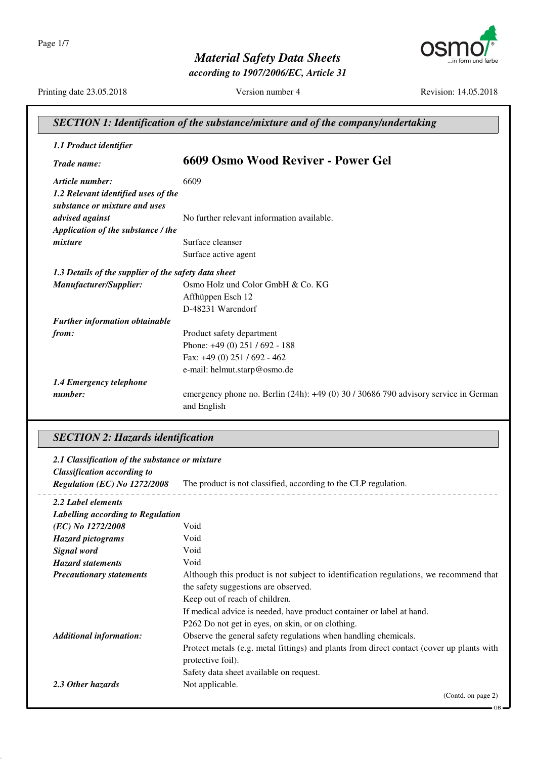

*according to 1907/2006/EC, Article 31*

Printing date 23.05.2018 Version number 4 Revision: 14.05.2018

GB

| <b>SECTION 1: Identification of the substance/mixture and of the company/undertaking</b> |                                                                                                        |
|------------------------------------------------------------------------------------------|--------------------------------------------------------------------------------------------------------|
| 1.1 Product identifier                                                                   |                                                                                                        |
| Trade name:                                                                              | 6609 Osmo Wood Reviver - Power Gel                                                                     |
| Article number:                                                                          | 6609                                                                                                   |
| 1.2 Relevant identified uses of the<br>substance or mixture and uses                     |                                                                                                        |
| advised against                                                                          | No further relevant information available.                                                             |
| Application of the substance / the                                                       |                                                                                                        |
| mixture                                                                                  | Surface cleanser                                                                                       |
|                                                                                          | Surface active agent                                                                                   |
| 1.3 Details of the supplier of the safety data sheet                                     |                                                                                                        |
| Manufacturer/Supplier:                                                                   | Osmo Holz und Color GmbH & Co. KG                                                                      |
|                                                                                          | Affhüppen Esch 12                                                                                      |
|                                                                                          | D-48231 Warendorf                                                                                      |
| <b>Further information obtainable</b>                                                    |                                                                                                        |
| from:                                                                                    | Product safety department                                                                              |
|                                                                                          | Phone: $+49(0)$ 251 / 692 - 188                                                                        |
|                                                                                          | Fax: +49 (0) 251 / 692 - 462                                                                           |
|                                                                                          | e-mail: helmut.starp@osmo.de                                                                           |
| 1.4 Emergency telephone                                                                  |                                                                                                        |
| number:                                                                                  | emergency phone no. Berlin $(24h)$ : $+49(0)$ 30 / 30686 790 advisory service in German<br>and English |

## *SECTION 2: Hazards identification*

| 2.1 Classification of the substance or mixture |                                                                                           |
|------------------------------------------------|-------------------------------------------------------------------------------------------|
| <b>Classification according to</b>             |                                                                                           |
| Regulation (EC) No 1272/2008                   | The product is not classified, according to the CLP regulation.                           |
| 2.2 Label elements                             |                                                                                           |
| Labelling according to Regulation              |                                                                                           |
| (EC) No 1272/2008                              | Void                                                                                      |
| <b>Hazard pictograms</b>                       | Void                                                                                      |
| <b>Signal word</b>                             | Void                                                                                      |
| <b>Hazard statements</b>                       | Void                                                                                      |
| <b>Precautionary statements</b>                | Although this product is not subject to identification regulations, we recommend that     |
|                                                | the safety suggestions are observed.                                                      |
|                                                | Keep out of reach of children.                                                            |
|                                                | If medical advice is needed, have product container or label at hand.                     |
|                                                | P262 Do not get in eyes, on skin, or on clothing.                                         |
| <b>Additional information:</b>                 | Observe the general safety regulations when handling chemicals.                           |
|                                                | Protect metals (e.g. metal fittings) and plants from direct contact (cover up plants with |
|                                                | protective foil).                                                                         |
|                                                | Safety data sheet available on request.                                                   |
| 2.3 Other hazards                              | Not applicable.                                                                           |
|                                                | (Contd. on page 2)                                                                        |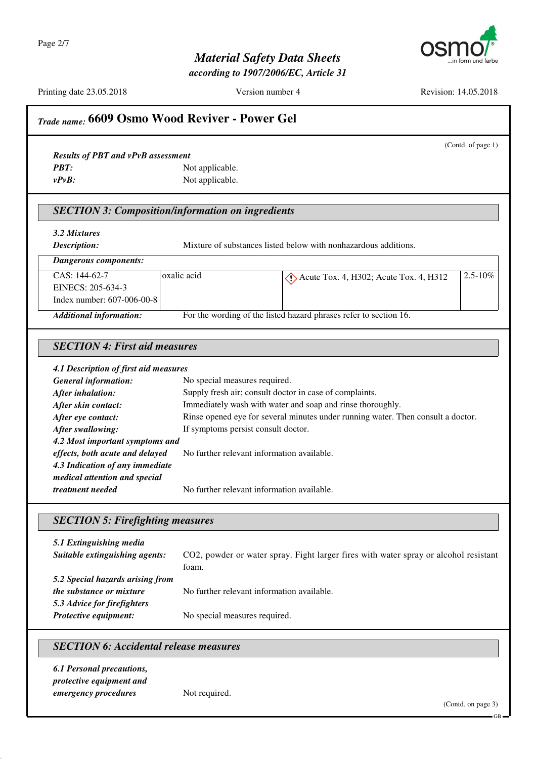Page 2/7



# *Material Safety Data Sheets*

*according to 1907/2006/EC, Article 31*

Printing date 23.05.2018 Version number 4 Revision: 14.05.2018

|                                                          | (Contd. of page 1)                                                                       |
|----------------------------------------------------------|------------------------------------------------------------------------------------------|
| <b>Results of PBT and vPvB assessment</b>                |                                                                                          |
| <b>PBT:</b>                                              | Not applicable.                                                                          |
| $v P v B$ :                                              | Not applicable.                                                                          |
| <b>SECTION 3: Composition/information on ingredients</b> |                                                                                          |
| 3.2 Mixtures                                             |                                                                                          |
| Description:                                             | Mixture of substances listed below with nonhazardous additions.                          |
| <b>Dangerous components:</b>                             |                                                                                          |
| CAS: 144-62-7                                            | oxalic acid<br>2.5-10%<br>$\langle \cdot \rangle$ Acute Tox. 4, H302; Acute Tox. 4, H312 |
| EINECS: 205-634-3                                        |                                                                                          |
| Index number: 607-006-00-8                               |                                                                                          |
| <b>Additional information:</b>                           | For the wording of the listed hazard phrases refer to section 16.                        |
|                                                          |                                                                                          |
| <b>SECTION 4: First aid measures</b>                     |                                                                                          |
| 4.1 Description of first aid measures                    |                                                                                          |
| <b>General information:</b>                              | No special measures required.                                                            |
| After inhalation:                                        | Supply fresh air; consult doctor in case of complaints.                                  |
| After skin contact:                                      | Immediately wash with water and soap and rinse thoroughly.                               |
| After eye contact:                                       | Rinse opened eye for several minutes under running water. Then consult a doctor.         |
| After swallowing:                                        | If symptoms persist consult doctor.                                                      |
| 4.2 Most important symptoms and                          |                                                                                          |
| effects, both acute and delayed                          | No further relevant information available.                                               |
| 4.3 Indication of any immediate                          |                                                                                          |
| medical attention and special                            |                                                                                          |
| treatment needed                                         | No further relevant information available.                                               |
| <b>SECTION 5: Firefighting measures</b>                  |                                                                                          |
|                                                          |                                                                                          |
| 5.1 Extinguishing media                                  |                                                                                          |
| Suitable extinguishing agents:                           | CO2, powder or water spray. Fight larger fires with water spray or alcohol resistant     |
|                                                          | foam.                                                                                    |
| 5.2 Special hazards arising from                         |                                                                                          |
| the substance or mixture                                 | No further relevant information available.                                               |
| 5.3 Advice for firefighters                              |                                                                                          |
| Protective equipment:                                    | No special measures required.                                                            |
| <b>SECTION 6: Accidental release measures</b>            |                                                                                          |
| <b>6.1 Personal precautions,</b>                         |                                                                                          |
| protective equipment and                                 |                                                                                          |
| emergency procedures                                     | Not required.                                                                            |
|                                                          | (Contd. on page 3)                                                                       |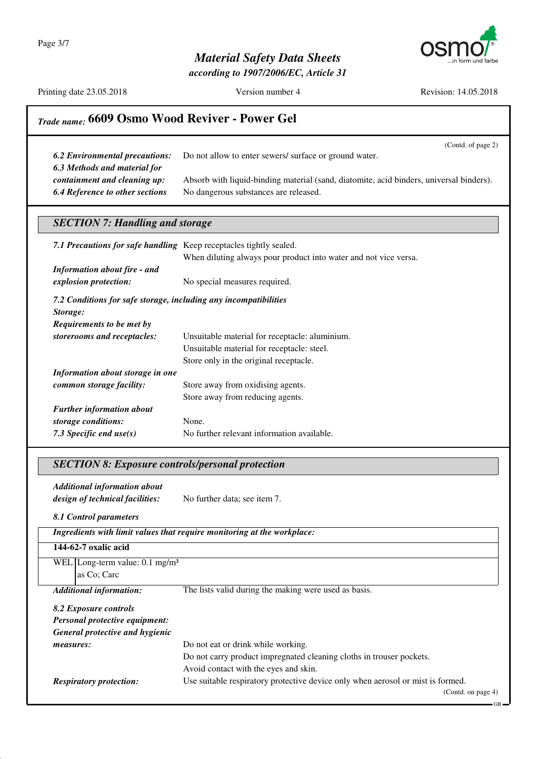Page 3/7



### *Material Safety Data Sheets*

*according to 1907/2006/EC, Article 31*

Printing date 23.05.2018 Version number 4 Revision: 14.05.2018

(Contd. of page 2)

## *Trade name:* **6609 Osmo Wood Reviver - Power Gel**

| <b>6.2 Environmental precautions:</b>  | Do not allow to enter sewers/ surface or ground water.                                  |
|----------------------------------------|-----------------------------------------------------------------------------------------|
| 6.3 Methods and material for           |                                                                                         |
| containment and cleaning up:           | Absorb with liquid-binding material (sand, diatomite, acid binders, universal binders). |
| <b>6.4 Reference to other sections</b> | No dangerous substances are released.                                                   |

### *SECTION 7: Handling and storage*

| 7.1 Precautions for safe handling Keep receptacles tightly sealed. | When diluting always pour product into water and not vice versa. |
|--------------------------------------------------------------------|------------------------------------------------------------------|
| <b>Information about fire - and</b>                                |                                                                  |
| explosion protection:                                              | No special measures required.                                    |
| 7.2 Conditions for safe storage, including any incompatibilities   |                                                                  |
| Storage:                                                           |                                                                  |
| Requirements to be met by                                          |                                                                  |
| storerooms and receptacles:                                        | Unsuitable material for receptacle: aluminium.                   |
|                                                                    | Unsuitable material for receptacle: steel.                       |
|                                                                    | Store only in the original receptacle.                           |
| Information about storage in one                                   |                                                                  |
| common storage facility:                                           | Store away from oxidising agents.                                |
|                                                                    | Store away from reducing agents.                                 |
| <b>Further information about</b>                                   |                                                                  |
| storage conditions:                                                | None.                                                            |
| 7.3 Specific end $use(s)$                                          | No further relevant information available.                       |

### *SECTION 8: Exposure controls/personal protection*

*Additional information about design of technical facilities:* No further data; see item 7.

#### *8.1 Control parameters*

|                                              | Ingredients with limit values that require monitoring at the workplace:         |
|----------------------------------------------|---------------------------------------------------------------------------------|
| 144-62-7 oxalic acid                         |                                                                                 |
| WEL   Long-term value: 0.1 mg/m <sup>3</sup> |                                                                                 |
| as Co; Carc                                  |                                                                                 |
| <b>Additional information:</b>               | The lists valid during the making were used as basis.                           |
| 8.2 Exposure controls                        |                                                                                 |
| <b>Personal protective equipment:</b>        |                                                                                 |
| General protective and hygienic              |                                                                                 |
| <i>measures:</i>                             | Do not eat or drink while working.                                              |
|                                              | Do not carry product impregnated cleaning cloths in trouser pockets.            |
|                                              | Avoid contact with the eyes and skin.                                           |
| <b>Respiratory protection:</b>               | Use suitable respiratory protective device only when aerosol or mist is formed. |
|                                              | (Contd. on page 4)                                                              |
|                                              | GВ                                                                              |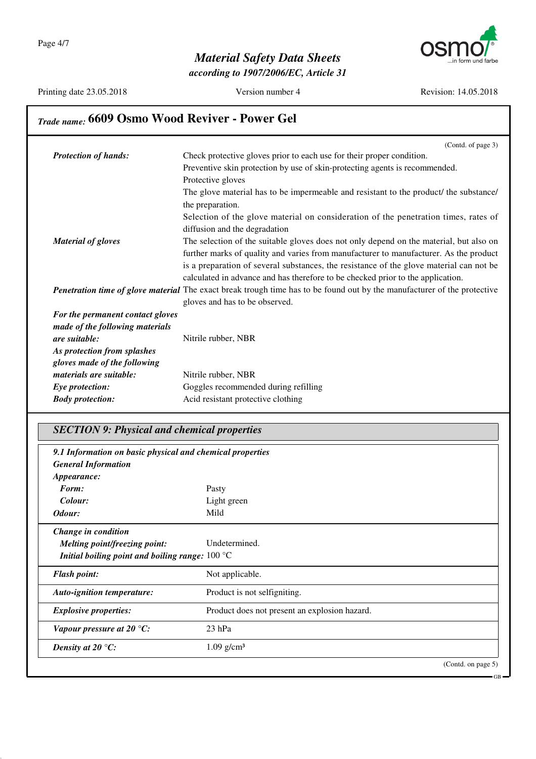

*according to 1907/2006/EC, Article 31*

Printing date 23.05.2018 Version number 4 Revision: 14.05.2018

# *Trade name:* **6609 Osmo Wood Reviver - Power Gel**

|                                  | (Contd. of page 3)                                                                                                              |
|----------------------------------|---------------------------------------------------------------------------------------------------------------------------------|
| <b>Protection of hands:</b>      | Check protective gloves prior to each use for their proper condition.                                                           |
|                                  | Preventive skin protection by use of skin-protecting agents is recommended.                                                     |
|                                  | Protective gloves                                                                                                               |
|                                  | The glove material has to be impermeable and resistant to the product/ the substance/                                           |
|                                  | the preparation.                                                                                                                |
|                                  | Selection of the glove material on consideration of the penetration times, rates of                                             |
|                                  | diffusion and the degradation                                                                                                   |
| <b>Material of gloves</b>        | The selection of the suitable gloves does not only depend on the material, but also on                                          |
|                                  | further marks of quality and varies from manufacturer to manufacturer. As the product                                           |
|                                  | is a preparation of several substances, the resistance of the glove material can not be                                         |
|                                  | calculated in advance and has therefore to be checked prior to the application.                                                 |
|                                  | <b>Penetration time of glove material</b> The exact break trough time has to be found out by the manufacturer of the protective |
|                                  | gloves and has to be observed.                                                                                                  |
| For the permanent contact gloves |                                                                                                                                 |
| made of the following materials  |                                                                                                                                 |
| are suitable:                    | Nitrile rubber, NBR                                                                                                             |
| As protection from splashes      |                                                                                                                                 |
| gloves made of the following     |                                                                                                                                 |
| materials are suitable:          | Nitrile rubber, NBR                                                                                                             |
| Eye protection:                  | Goggles recommended during refilling                                                                                            |
| <b>Body protection:</b>          | Acid resistant protective clothing                                                                                              |

# *SECTION 9: Physical and chemical properties*

| 9.1 Information on basic physical and chemical properties<br><b>General Information</b> |                                               |  |
|-----------------------------------------------------------------------------------------|-----------------------------------------------|--|
| Appearance:                                                                             |                                               |  |
| Form:                                                                                   | Pasty                                         |  |
| Colour:                                                                                 | Light green                                   |  |
| Odour:                                                                                  | Mild                                          |  |
| Change in condition                                                                     |                                               |  |
| <b>Melting point/freezing point:</b>                                                    | Undetermined.                                 |  |
| Initial boiling point and boiling range: $100 \degree C$                                |                                               |  |
| <b>Flash point:</b>                                                                     | Not applicable.                               |  |
| <b>Auto-ignition temperature:</b>                                                       | Product is not selfigniting.                  |  |
| <b>Explosive properties:</b>                                                            | Product does not present an explosion hazard. |  |
| Vapour pressure at 20 $°C$ :                                                            | $23$ hPa                                      |  |
| Density at 20 $\mathrm{^{\circ}C:}$                                                     | $1.09$ g/cm <sup>3</sup>                      |  |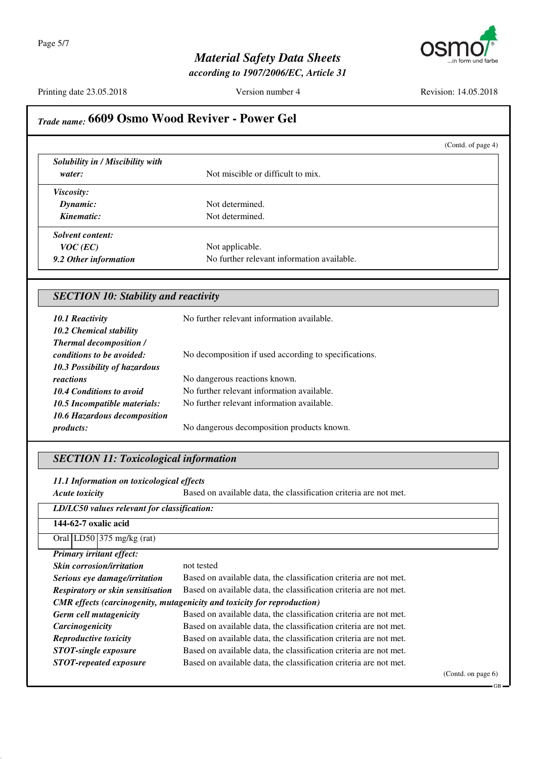

*according to 1907/2006/EC, Article 31*

Printing date 23.05.2018 Version number 4 Revision: 14.05.2018

|                                                              |                                                                                                                                        | (Contd. of page 4) |
|--------------------------------------------------------------|----------------------------------------------------------------------------------------------------------------------------------------|--------------------|
| Solubility in / Miscibility with                             |                                                                                                                                        |                    |
| water:                                                       | Not miscible or difficult to mix.                                                                                                      |                    |
| Viscosity:                                                   |                                                                                                                                        |                    |
| Dynamic:                                                     | Not determined.                                                                                                                        |                    |
| Kinematic:                                                   | Not determined.                                                                                                                        |                    |
| <b>Solvent content:</b>                                      |                                                                                                                                        |                    |
| $VOC$ (EC)                                                   | Not applicable.                                                                                                                        |                    |
| 9.2 Other information                                        | No further relevant information available.                                                                                             |                    |
| <b>SECTION 10: Stability and reactivity</b>                  |                                                                                                                                        |                    |
| <b>10.1 Reactivity</b>                                       | No further relevant information available.                                                                                             |                    |
| 10.2 Chemical stability                                      |                                                                                                                                        |                    |
| <b>Thermal decomposition /</b>                               |                                                                                                                                        |                    |
| conditions to be avoided:                                    | No decomposition if used according to specifications.                                                                                  |                    |
| 10.3 Possibility of hazardous                                |                                                                                                                                        |                    |
| reactions                                                    | No dangerous reactions known.                                                                                                          |                    |
| 10.4 Conditions to avoid                                     | No further relevant information available.                                                                                             |                    |
| 10.5 Incompatible materials:                                 | No further relevant information available.                                                                                             |                    |
| 10.6 Hazardous decomposition                                 |                                                                                                                                        |                    |
| products:                                                    | No dangerous decomposition products known.                                                                                             |                    |
| <b>SECTION 11: Toxicological information</b>                 |                                                                                                                                        |                    |
| 11.1 Information on toxicological effects                    |                                                                                                                                        |                    |
| <b>Acute toxicity</b>                                        | Based on available data, the classification criteria are not met.                                                                      |                    |
| LD/LC50 values relevant for classification:                  |                                                                                                                                        |                    |
| 144-62-7 oxalic acid                                         |                                                                                                                                        |                    |
| Oral LD50 375 mg/kg (rat)                                    |                                                                                                                                        |                    |
| Primary irritant effect:                                     |                                                                                                                                        |                    |
| <b>Skin corrosion/irritation</b>                             | not tested                                                                                                                             |                    |
| Serious eye damage/irritation                                | Based on available data, the classification criteria are not met.                                                                      |                    |
| <b>Respiratory or skin sensitisation</b>                     | Based on available data, the classification criteria are not met.                                                                      |                    |
|                                                              |                                                                                                                                        |                    |
|                                                              | <b>CMR</b> effects (carcinogenity, mutagenicity and toxicity for reproduction)                                                         |                    |
| Germ cell mutagenicity                                       | Based on available data, the classification criteria are not met.                                                                      |                    |
| Carcinogenicity                                              | Based on available data, the classification criteria are not met.                                                                      |                    |
| Reproductive toxicity                                        | Based on available data, the classification criteria are not met.                                                                      |                    |
| <b>STOT-single exposure</b><br><b>STOT-repeated exposure</b> | Based on available data, the classification criteria are not met.<br>Based on available data, the classification criteria are not met. |                    |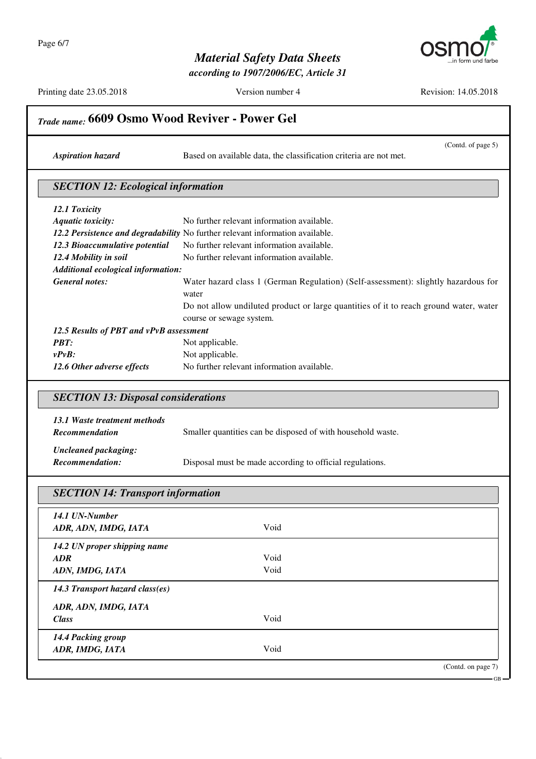

*according to 1907/2006/EC, Article 31*

Printing date 23.05.2018 Version number 4 Revision: 14.05.2018

(Contd. of page 5)

# *Trade name:* **6609 Osmo Wood Reviver - Power Gel**

*Aspiration hazard* Based on available data, the classification criteria are not met.

#### *SECTION 12: Ecological information*

| 12.1 Toxicity                           |                                                                                       |
|-----------------------------------------|---------------------------------------------------------------------------------------|
| <b>Aquatic toxicity:</b>                | No further relevant information available.                                            |
|                                         | 12.2 Persistence and degradability No further relevant information available.         |
| 12.3 Bioaccumulative potential          | No further relevant information available.                                            |
| 12.4 Mobility in soil                   | No further relevant information available.                                            |
| Additional ecological information:      |                                                                                       |
| <b>General notes:</b>                   | Water hazard class 1 (German Regulation) (Self-assessment): slightly hazardous for    |
|                                         | water                                                                                 |
|                                         | Do not allow undiluted product or large quantities of it to reach ground water, water |
|                                         | course or sewage system.                                                              |
| 12.5 Results of PBT and vPvB assessment |                                                                                       |
| <b>PBT:</b>                             | Not applicable.                                                                       |
| $v P v B$ :                             | Not applicable.                                                                       |
| 12.6 Other adverse effects              | No further relevant information available.                                            |

### *SECTION 13: Disposal considerations*

| 13.1 Waste treatment methods |                                                             |
|------------------------------|-------------------------------------------------------------|
| <b>Recommendation</b>        | Smaller quantities can be disposed of with household waste. |
| Uncleaned packaging:         |                                                             |

*Recommendation:* Disposal must be made according to official regulations.

## *SECTION 14: Transport information 14.1 UN-Number ADR, ADN, IMDG, IATA* Void *14.2 UN proper shipping name ADR* Void *ADN, IMDG, IATA* Void *14.3 Transport hazard class(es) ADR, ADN, IMDG, IATA Class* Void *14.4 Packing group ADR, IMDG, IATA* Void (Contd. on page 7)

GB